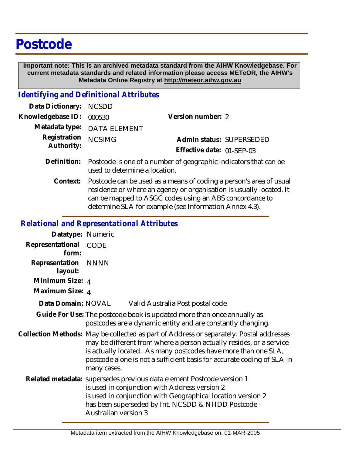## **Postcode**

 **Important note: This is an archived metadata standard from the AIHW Knowledgebase. For current metadata standards and related information please access METeOR, the AIHW's Metadata Online Registry at http://meteor.aihw.gov.au**

## *Identifying and Definitional Attributes*

| Data Dictionary: NCSDD     |                                                                                                               |                           |                          |
|----------------------------|---------------------------------------------------------------------------------------------------------------|---------------------------|--------------------------|
| Knowledgebase ID:          | 000530                                                                                                        | Version number: 2         |                          |
|                            | Metadata type: DATA ELEMENT                                                                                   |                           |                          |
| Registration<br>Authority: | <b>NCSIMG</b>                                                                                                 |                           | Admin status: SUPERSEDED |
|                            |                                                                                                               | Effective date: 01-SEP-03 |                          |
|                            | Definition: Postcode is one of a number of geographic indicators that can be<br>used to determine a location. |                           |                          |

Context: Postcode can be used as a means of coding a person's area of usual residence or where an agency or organisation is usually located. It can be mapped to ASGC codes using an ABS concordance to determine SLA for example (see Information Annex 4.3).

## *Relational and Representational Attributes*

| Datatype: Numeric              |                                                                                                                                                                                                                                                                                                                           |                                                                                                                                                                                                                                              |
|--------------------------------|---------------------------------------------------------------------------------------------------------------------------------------------------------------------------------------------------------------------------------------------------------------------------------------------------------------------------|----------------------------------------------------------------------------------------------------------------------------------------------------------------------------------------------------------------------------------------------|
| Representational<br>form:      | <b>CODE</b>                                                                                                                                                                                                                                                                                                               |                                                                                                                                                                                                                                              |
| Representation NNNN<br>layout: |                                                                                                                                                                                                                                                                                                                           |                                                                                                                                                                                                                                              |
| Minimum Size: 4                |                                                                                                                                                                                                                                                                                                                           |                                                                                                                                                                                                                                              |
| Maximum Size: 4                |                                                                                                                                                                                                                                                                                                                           |                                                                                                                                                                                                                                              |
| Data Domain: NOVAL             |                                                                                                                                                                                                                                                                                                                           | Valid Australia Post postal code                                                                                                                                                                                                             |
|                                |                                                                                                                                                                                                                                                                                                                           | Guide For Use: The postcode book is updated more than once annually as<br>postcodes are a dynamic entity and are constantly changing.                                                                                                        |
|                                | Collection Methods: May be collected as part of Address or separately. Postal addresses<br>may be different from where a person actually resides, or a service<br>is actually located. As many postcodes have more than one SLA,<br>postcode alone is not a sufficient basis for accurate coding of SLA in<br>many cases. |                                                                                                                                                                                                                                              |
|                                | <b>Australian version 3</b>                                                                                                                                                                                                                                                                                               | Related metadata: supersedes previous data element Postcode version 1<br>is used in conjunction with Address version 2<br>is used in conjunction with Geographical location version 2<br>has been superseded by Int. NCSDD & NHDD Postcode - |